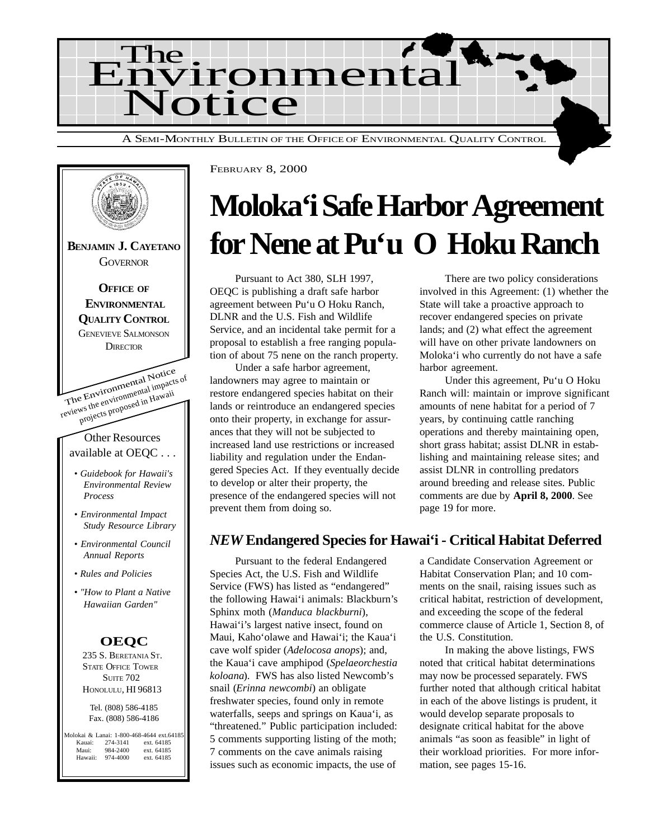



# **Moloka'i Safe Harbor Agreement for Nene at Pu'u O Hoku Ranch**

Pursuant to Act 380, SLH 1997, OEQC is publishing a draft safe harbor agreement between Pu'u O Hoku Ranch, DLNR and the U.S. Fish and Wildlife Service, and an incidental take permit for a proposal to establish a free ranging population of about 75 nene on the ranch property.

Under a safe harbor agreement, landowners may agree to maintain or restore endangered species habitat on their lands or reintroduce an endangered species onto their property, in exchange for assurances that they will not be subjected to increased land use restrictions or increased liability and regulation under the Endangered Species Act. If they eventually decide to develop or alter their property, the presence of the endangered species will not prevent them from doing so.

There are two policy considerations involved in this Agreement: (1) whether the State will take a proactive approach to recover endangered species on private lands; and (2) what effect the agreement will have on other private landowners on Moloka'i who currently do not have a safe harbor agreement.

Under this agreement, Pu'u O Hoku Ranch will: maintain or improve significant amounts of nene habitat for a period of 7 years, by continuing cattle ranching operations and thereby maintaining open, short grass habitat; assist DLNR in establishing and maintaining release sites; and assist DLNR in controlling predators around breeding and release sites. Public comments are due by **April 8, 2000**. See page 19 for more.

## *NEW* **Endangered Species for Hawai'i - Critical Habitat Deferred**

Pursuant to the federal Endangered Species Act, the U.S. Fish and Wildlife Service (FWS) has listed as "endangered" the following Hawai'i animals: Blackburn's Sphinx moth (*Manduca blackburni*), Hawai'i's largest native insect, found on Maui, Kaho'olawe and Hawai'i; the Kaua'i cave wolf spider (*Adelocosa anops*); and, the Kaua'i cave amphipod (*Spelaeorchestia koloana*). FWS has also listed Newcomb's snail (*Erinna newcombi*) an obligate freshwater species, found only in remote waterfalls, seeps and springs on Kaua'i, as "threatened." Public participation included: 5 comments supporting listing of the moth; 7 comments on the cave animals raising issues such as economic impacts, the use of

a Candidate Conservation Agreement or Habitat Conservation Plan; and 10 comments on the snail, raising issues such as critical habitat, restriction of development, and exceeding the scope of the federal commerce clause of Article 1, Section 8, of the U.S. Constitution.

In making the above listings, FWS noted that critical habitat determinations may now be processed separately. FWS further noted that although critical habitat in each of the above listings is prudent, it would develop separate proposals to designate critical habitat for the above animals "as soon as feasible" in light of their workload priorities. For more information, see pages 15-16.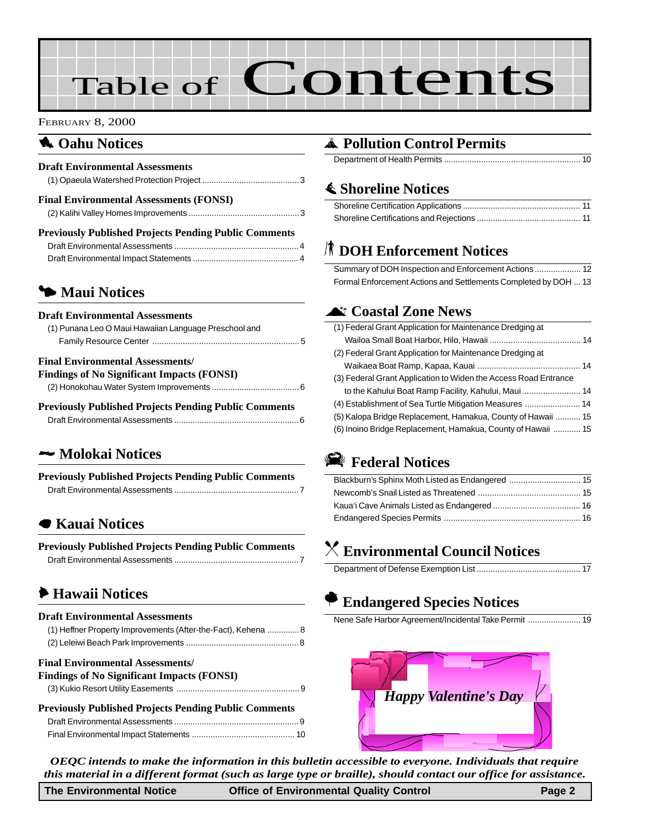# Table of Contents

#### FEBRUARY 8, 2000

### **1** Oahu Notices

| <b>Draft Environmental Assessments</b>                       |  |
|--------------------------------------------------------------|--|
| <b>Final Environmental Assessments (FONSI)</b>               |  |
| <b>Previously Published Projects Pending Public Comments</b> |  |
|                                                              |  |

[Draft Environmental Impact Statements .............................................. 4](#page-4-0)

## 3 **[Maui Notices](#page-5-0)**

#### **Draft Environmental Assessments**

| (1) Punana Leo O Maui Hawaiian Language Preschool and |
|-------------------------------------------------------|
|                                                       |

#### **Final Environmental Assessments/ Findings of No Significant Impacts (FONSI)**

| PHRILES OF TWO SIGNAL AMPRILS (POTSE)                        |  |
|--------------------------------------------------------------|--|
|                                                              |  |
| <b>Previously Published Projects Pending Public Comments</b> |  |

[Draft Environmental Assessments ......................................................6](#page-6-0)

### 2 **[Molokai Notices](#page-7-0)**

| <b>Previously Published Projects Pending Public Comments</b> |  |
|--------------------------------------------------------------|--|
|                                                              |  |

### 7 **Kauai Notices**

| <b>Previously Published Projects Pending Public Comments</b> |  |
|--------------------------------------------------------------|--|
|                                                              |  |

## 6 **Hawaii Notices**

#### **Draft Environmental Assessments**

| (1) Heffner Property Improvements (After-the-Fact), Kehena  8 |  |
|---------------------------------------------------------------|--|
|                                                               |  |
| <b>Final Environmental Assessments/</b>                       |  |
| Findings of No Significant Impacts (FONSI)                    |  |
|                                                               |  |
| <b>Previously Published Projects Pending Public Comments</b>  |  |
|                                                               |  |
|                                                               |  |

## V **Pollution Control Permits**

|--|

## s **Shoreline Notices**

## S **DOH Enforcement Notices**

Summary of DOH Inspection and Enforcement Actions.................... 12 [Formal Enforcement Actions and Settlements Completed by DOH ... 13](#page-13-0)

### ^ **Coastal Zone News**

| (1) Federal Grant Application for Maintenance Dredging at       |  |
|-----------------------------------------------------------------|--|
|                                                                 |  |
| (2) Federal Grant Application for Maintenance Dredging at       |  |
|                                                                 |  |
| (3) Federal Grant Application to Widen the Access Road Entrance |  |
|                                                                 |  |
|                                                                 |  |
| (5) Kalopa Bridge Replacement, Hamakua, County of Hawaii  15    |  |
| (6) Inoino Bridge Replacement, Hamakua, County of Hawaii  15    |  |
|                                                                 |  |

## I **Federal Notices**

## ] **Environmental Council Notices**

|--|

## A **Endangered Species Notices**

|--|--|



*OEQC intends to make the information in this bulletin accessible to everyone. Individuals that require this material in a different format (such as large type or braille), should contact our office for assistance.*

| <b>The Environmental Notice</b> | <b>Office of Environmental Quality Control</b> | Page 2 |
|---------------------------------|------------------------------------------------|--------|
|                                 |                                                |        |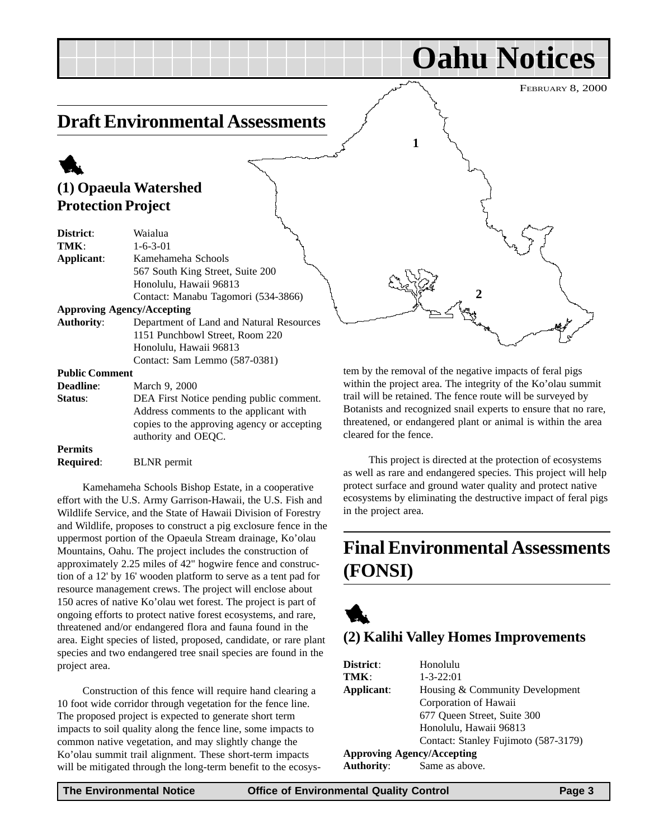**Oahu Notices**

## **Draft Environmental Assessments**

## 1 **(1) Opaeula Watershed Protection Project**

| District:             | Waialua                                     |
|-----------------------|---------------------------------------------|
| TMK:                  | $1 - 6 - 3 - 01$                            |
| Applicant:            | Kamehameha Schools                          |
|                       | 567 South King Street, Suite 200            |
|                       | Honolulu, Hawaii 96813                      |
|                       | Contact: Manabu Tagomori (534-3866)         |
|                       | <b>Approving Agency/Accepting</b>           |
| <b>Authority:</b>     | Department of Land and Natural Resources    |
|                       | 1151 Punchbowl Street, Room 220             |
|                       | Honolulu, Hawaii 96813                      |
|                       | Contact: Sam Lemmo (587-0381)               |
| <b>Public Comment</b> |                                             |
| <b>Deadline:</b>      | March 9, 2000                               |
| Status:               | DEA First Notice pending public comment.    |
|                       | Address comments to the applicant with      |
|                       | copies to the approving agency or accepting |
|                       | authority and OEOC.                         |

#### **Permits**

**Required**: BLNR permit

Kamehameha Schools Bishop Estate, in a cooperative effort with the U.S. Army Garrison-Hawaii, the U.S. Fish and Wildlife Service, and the State of Hawaii Division of Forestry and Wildlife, proposes to construct a pig exclosure fence in the uppermost portion of the Opaeula Stream drainage, Ko'olau Mountains, Oahu. The project includes the construction of approximately 2.25 miles of 42" hogwire fence and construction of a 12' by 16' wooden platform to serve as a tent pad for resource management crews. The project will enclose about 150 acres of native Ko'olau wet forest. The project is part of ongoing efforts to protect native forest ecosystems, and rare, threatened and/or endangered flora and fauna found in the area. Eight species of listed, proposed, candidate, or rare plant species and two endangered tree snail species are found in the project area.

Construction of this fence will require hand clearing a 10 foot wide corridor through vegetation for the fence line. The proposed project is expected to generate short term impacts to soil quality along the fence line, some impacts to common native vegetation, and may slightly change the Ko'olau summit trail alignment. These short-term impacts will be mitigated through the long-term benefit to the ecosystem by the removal of the negative impacts of feral pigs within the project area. The integrity of the Ko'olau summit trail will be retained. The fence route will be surveyed by Botanists and recognized snail experts to ensure that no rare, threatened, or endangered plant or animal is within the area cleared for the fence.

**2**

**1**

This project is directed at the protection of ecosystems as well as rare and endangered species. This project will help protect surface and ground water quality and protect native ecosystems by eliminating the destructive impact of feral pigs in the project area.

## **Final Environmental Assessments (FONSI)**



## **(2) Kalihi Valley Homes Improvements**

| District:         | Honolulu                             |
|-------------------|--------------------------------------|
| TMK:              | $1 - 3 - 22:01$                      |
| Applicant:        | Housing & Community Development      |
|                   | Corporation of Hawaii                |
|                   | 677 Oueen Street, Suite 300          |
|                   | Honolulu, Hawaii 96813               |
|                   | Contact: Stanley Fujimoto (587-3179) |
|                   | <b>Approving Agency/Accepting</b>    |
| <b>Authority:</b> | Same as above.                       |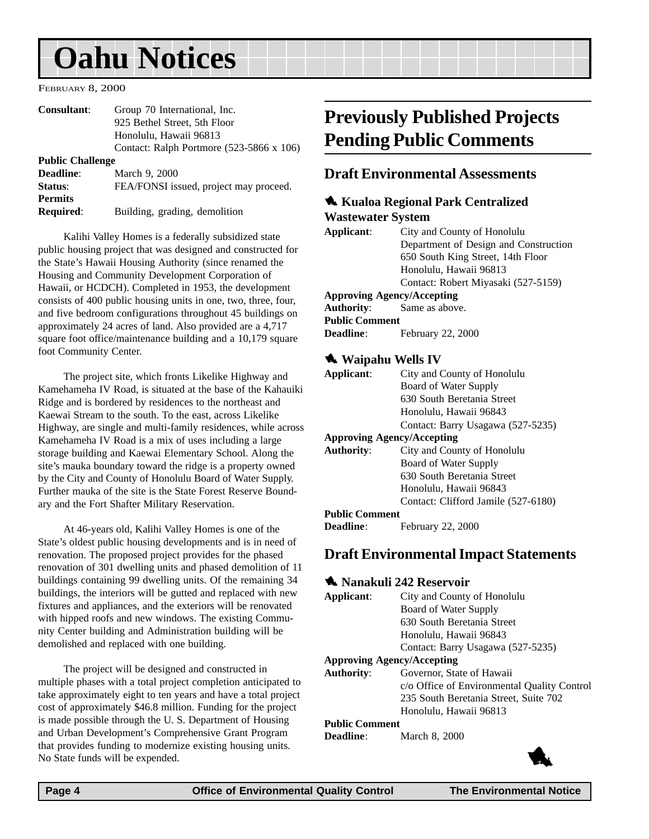# <span id="page-3-0"></span>**Oahu Notices**

FEBRUARY 8, 2000

| Consultant:             | Group 70 International, Inc.                    |
|-------------------------|-------------------------------------------------|
|                         | 925 Bethel Street, 5th Floor                    |
|                         | Honolulu, Hawaii 96813                          |
|                         | Contact: Ralph Portmore $(523-5866 \times 106)$ |
| <b>Public Challenge</b> |                                                 |
| Deadline:               | March 9, 2000                                   |
| Status:                 | FEA/FONSI issued, project may proceed.          |
| <b>Permits</b>          |                                                 |
| <b>Required:</b>        | Building, grading, demolition                   |
|                         |                                                 |

Kalihi Valley Homes is a federally subsidized state public housing project that was designed and constructed for the State's Hawaii Housing Authority (since renamed the Housing and Community Development Corporation of Hawaii, or HCDCH). Completed in 1953, the development consists of 400 public housing units in one, two, three, four, and five bedroom configurations throughout 45 buildings on approximately 24 acres of land. Also provided are a 4,717 square foot office/maintenance building and a 10,179 square foot Community Center.

The project site, which fronts Likelike Highway and Kamehameha IV Road, is situated at the base of the Kahauiki Ridge and is bordered by residences to the northeast and Kaewai Stream to the south. To the east, across Likelike Highway, are single and multi-family residences, while across Kamehameha IV Road is a mix of uses including a large storage building and Kaewai Elementary School. Along the site's mauka boundary toward the ridge is a property owned by the City and County of Honolulu Board of Water Supply. Further mauka of the site is the State Forest Reserve Boundary and the Fort Shafter Military Reservation.

At 46-years old, Kalihi Valley Homes is one of the State's oldest public housing developments and is in need of renovation. The proposed project provides for the phased renovation of 301 dwelling units and phased demolition of 11 buildings containing 99 dwelling units. Of the remaining 34 buildings, the interiors will be gutted and replaced with new fixtures and appliances, and the exteriors will be renovated with hipped roofs and new windows. The existing Community Center building and Administration building will be demolished and replaced with one building.

The project will be designed and constructed in multiple phases with a total project completion anticipated to take approximately eight to ten years and have a total project cost of approximately \$46.8 million. Funding for the project is made possible through the U. S. Department of Housing and Urban Development's Comprehensive Grant Program that provides funding to modernize existing housing units. No State funds will be expended.

## **Previously Published Projects Pending Public Comments**

#### **Draft Environmental Assessments**

#### 1 **Kualoa Regional Park Centralized**

#### **Wastewater System**

| Applicant:                 | City and County of Honolulu           |
|----------------------------|---------------------------------------|
|                            | Department of Design and Construction |
|                            | 650 South King Street, 14th Floor     |
|                            | Honolulu, Hawaii 96813                |
|                            | Contact: Robert Miyasaki (527-5159)   |
| Approving Agency/Accepting |                                       |
| Authority:                 | Same as above.                        |
|                            |                                       |

#### **Public Comment**

**Deadline**: February 22, 2000

#### 1 **Waipahu Wells IV**

| Applicant:                        | City and County of Honolulu         |
|-----------------------------------|-------------------------------------|
|                                   | Board of Water Supply               |
|                                   | 630 South Beretania Street          |
|                                   | Honolulu, Hawaii 96843              |
|                                   | Contact: Barry Usagawa (527-5235)   |
| <b>Approving Agency/Accepting</b> |                                     |
| <b>Authority:</b>                 | City and County of Honolulu         |
|                                   | Board of Water Supply               |
|                                   | 630 South Beretania Street          |
|                                   | Honolulu, Hawaii 96843              |
|                                   | Contact: Clifford Jamile (527-6180) |
| <b>Public Comment</b>             |                                     |
| <b>Deadline:</b>                  | February 22, 2000                   |

#### **Draft Environmental Impact Statements**

#### 1 **Nanakuli 242 Reservoir Applicant**: City and County of Honolulu Board of Water Supply 630 South Beretania Street Honolulu, Hawaii 96843 Contact: Barry Usagawa (527-5235) **Approving Agency/Accepting Authority**: Governor, State of Hawaii c/o Office of Environmental Quality Control 235 South Beretania Street, Suite 702 Honolulu, Hawaii 96813 **Public Comment**

**Deadline**: March 8, 2000

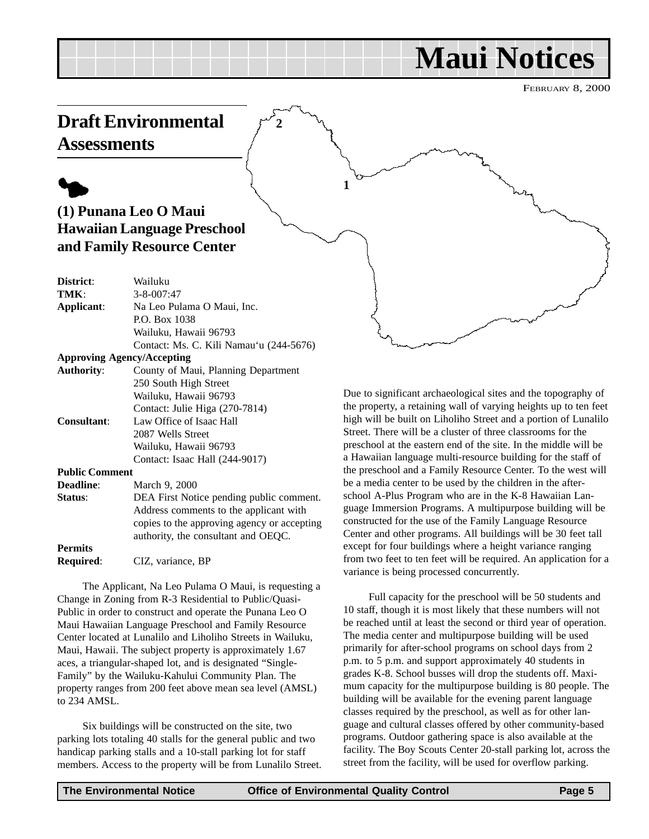# **Maui Notices**

FEBRUARY 8, 2000

## <span id="page-4-0"></span>**Draft Environmental Assessments**

**2**

**1**

# $\blacklozenge$

## **(1) Punana Leo O Maui Hawaiian Language Preschool and Family Resource Center**

| District:                         | Wailuku                                     |
|-----------------------------------|---------------------------------------------|
| TMK:                              | $3 - 8 - 007:47$                            |
| Applicant:                        | Na Leo Pulama O Maui, Inc.                  |
|                                   | P.O. Box 1038                               |
|                                   | Wailuku, Hawaii 96793                       |
|                                   | Contact: Ms. C. Kili Namau'u (244-5676)     |
| <b>Approving Agency/Accepting</b> |                                             |
| <b>Authority:</b>                 | County of Maui, Planning Department         |
|                                   | 250 South High Street                       |
|                                   | Wailuku, Hawaii 96793                       |
|                                   | Contact: Julie Higa (270-7814)              |
| Consultant:                       | Law Office of Isaac Hall                    |
|                                   | 2087 Wells Street                           |
|                                   | Wailuku, Hawaii 96793                       |
|                                   | Contact: Isaac Hall (244-9017)              |
| <b>Public Comment</b>             |                                             |
| <b>Deadline:</b>                  | March 9, 2000                               |
|                                   |                                             |
| Status:                           | DEA First Notice pending public comment.    |
|                                   | Address comments to the applicant with      |
|                                   | copies to the approving agency or accepting |
|                                   | authority, the consultant and OEQC.         |
| $\overline{\phantom{a}}$          |                                             |

**Permits Required**: CIZ, variance, BP

The Applicant, Na Leo Pulama O Maui, is requesting a Change in Zoning from R-3 Residential to Public/Quasi-Public in order to construct and operate the Punana Leo O Maui Hawaiian Language Preschool and Family Resource Center located at Lunalilo and Liholiho Streets in Wailuku, Maui, Hawaii. The subject property is approximately 1.67 aces, a triangular-shaped lot, and is designated "Single-Family" by the Wailuku-Kahului Community Plan. The property ranges from 200 feet above mean sea level (AMSL) to 234 AMSL.

Six buildings will be constructed on the site, two parking lots totaling 40 stalls for the general public and two handicap parking stalls and a 10-stall parking lot for staff members. Access to the property will be from Lunalilo Street.

Due to significant archaeological sites and the topography of the property, a retaining wall of varying heights up to ten feet high will be built on Liholiho Street and a portion of Lunalilo Street. There will be a cluster of three classrooms for the preschool at the eastern end of the site. In the middle will be a Hawaiian language multi-resource building for the staff of the preschool and a Family Resource Center. To the west will be a media center to be used by the children in the afterschool A-Plus Program who are in the K-8 Hawaiian Language Immersion Programs. A multipurpose building will be constructed for the use of the Family Language Resource Center and other programs. All buildings will be 30 feet tall except for four buildings where a height variance ranging from two feet to ten feet will be required. An application for a variance is being processed concurrently.

Full capacity for the preschool will be 50 students and 10 staff, though it is most likely that these numbers will not be reached until at least the second or third year of operation. The media center and multipurpose building will be used primarily for after-school programs on school days from 2 p.m. to 5 p.m. and support approximately 40 students in grades K-8. School busses will drop the students off. Maximum capacity for the multipurpose building is 80 people. The building will be available for the evening parent language classes required by the preschool, as well as for other language and cultural classes offered by other community-based programs. Outdoor gathering space is also available at the facility. The Boy Scouts Center 20-stall parking lot, across the street from the facility, will be used for overflow parking.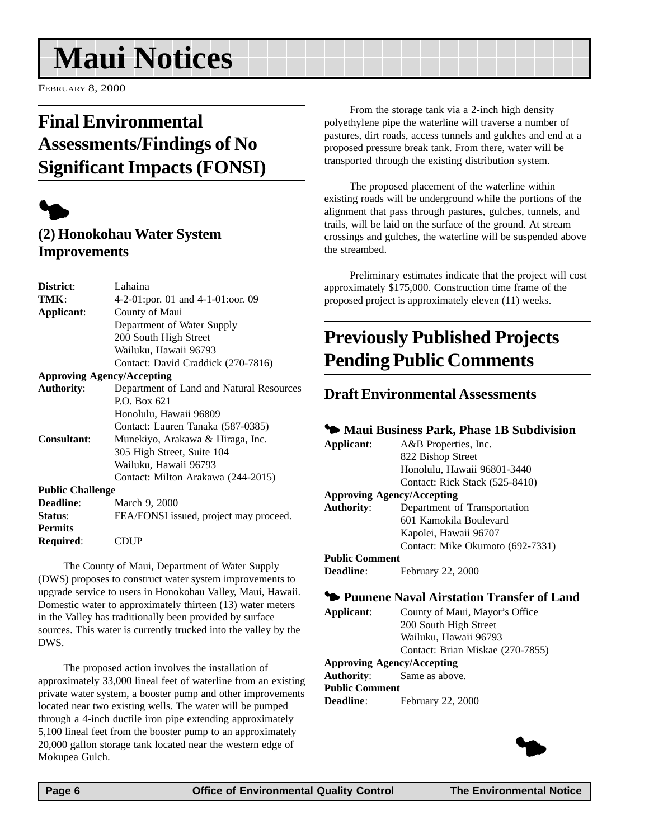# <span id="page-5-0"></span>**Maui Notices**

FEBRUARY 8, 2000

## **Final Environmental Assessments/Findings of No Significant Impacts (FONSI)**



## **(2) Honokohau Water System Improvements**

| District:               | Lahaina                                  |
|-------------------------|------------------------------------------|
| TMK:                    | 4-2-01:por. 01 and 4-1-01:oor. 09        |
| Applicant:              | County of Maui                           |
|                         | Department of Water Supply               |
|                         | 200 South High Street                    |
|                         | Wailuku, Hawaii 96793                    |
|                         | Contact: David Craddick (270-7816)       |
|                         | <b>Approving Agency/Accepting</b>        |
| <b>Authority:</b>       | Department of Land and Natural Resources |
|                         | P.O. Box 621                             |
|                         | Honolulu, Hawaii 96809                   |
|                         | Contact: Lauren Tanaka (587-0385)        |
| Consultant:             | Munekiyo, Arakawa & Hiraga, Inc.         |
|                         | 305 High Street, Suite 104               |
|                         | Wailuku, Hawaii 96793                    |
|                         | Contact: Milton Arakawa (244-2015)       |
| <b>Public Challenge</b> |                                          |
| <b>Deadline:</b>        | March 9, 2000                            |
| Status:                 | FEA/FONSI issued, project may proceed.   |
| <b>Permits</b>          |                                          |
| Required:               | ``DUP                                    |
|                         |                                          |

The County of Maui, Department of Water Supply (DWS) proposes to construct water system improvements to upgrade service to users in Honokohau Valley, Maui, Hawaii. Domestic water to approximately thirteen (13) water meters in the Valley has traditionally been provided by surface sources. This water is currently trucked into the valley by the DWS.

The proposed action involves the installation of approximately 33,000 lineal feet of waterline from an existing private water system, a booster pump and other improvements located near two existing wells. The water will be pumped through a 4-inch ductile iron pipe extending approximately 5,100 lineal feet from the booster pump to an approximately 20,000 gallon storage tank located near the western edge of Mokupea Gulch.

From the storage tank via a 2-inch high density polyethylene pipe the waterline will traverse a number of pastures, dirt roads, access tunnels and gulches and end at a proposed pressure break tank. From there, water will be transported through the existing distribution system.

The proposed placement of the waterline within existing roads will be underground while the portions of the alignment that pass through pastures, gulches, tunnels, and trails, will be laid on the surface of the ground. At stream crossings and gulches, the waterline will be suspended above the streambed.

Preliminary estimates indicate that the project will cost approximately \$175,000. Construction time frame of the proposed project is approximately eleven (11) weeks.

## **Previously Published Projects Pending Public Comments**

### **Draft Environmental Assessments**

#### 3 **Maui Business Park, Phase 1B Subdivision**

| Applicant:            | A&B Properties, Inc.              |
|-----------------------|-----------------------------------|
|                       | 822 Bishop Street                 |
|                       | Honolulu, Hawaii 96801-3440       |
|                       | Contact: Rick Stack (525-8410)    |
|                       | <b>Approving Agency/Accepting</b> |
| <b>Authority:</b>     | Department of Transportation      |
|                       | 601 Kamokila Boulevard            |
|                       | Kapolei, Hawaii 96707             |
|                       | Contact: Mike Okumoto (692-7331)  |
| <b>Public Comment</b> |                                   |
| Deadline:             | February 22, 2000                 |

#### 3 **Puunene Naval Airstation Transfer of Land**

**Applicant**: County of Maui, Mayor's Office 200 South High Street Wailuku, Hawaii 96793 Contact: Brian Miskae (270-7855)

### **Approving Agency/Accepting**

**Authority**: Same as above. **Public Comment Deadline**: February 22, 2000

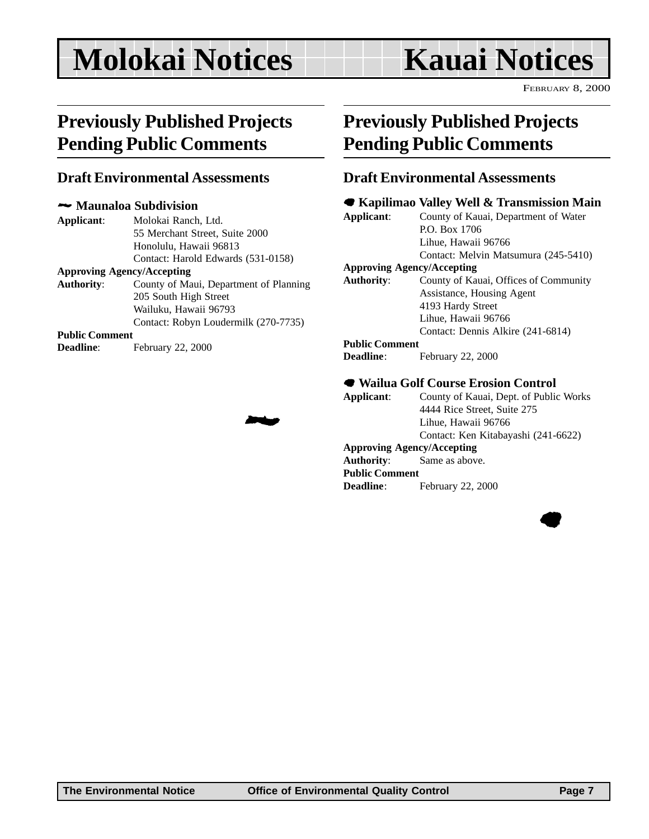# <span id="page-6-0"></span>**Molokai Notices Kauai Notices**

FEBRUARY 8, 2000

## **Previously Published Projects Pending Public Comments**

#### **Draft Environmental Assessments**

#### 2 **Maunaloa Subdivision**

**Applicant**: Molokai Ranch, Ltd. 55 Merchant Street, Suite 2000 Honolulu, Hawaii 96813 Contact: Harold Edwards (531-0158)

#### **Approving Agency/Accepting**

**Authority**: County of Maui, Department of Planning 205 South High Street Wailuku, Hawaii 96793 Contact: Robyn Loudermilk (270-7735)

2

#### **Public Comment**

**Deadline**: February 22, 2000

## **Previously Published Projects Pending Public Comments**

#### **Draft Environmental Assessments**

#### 7 **Kapilimao Valley Well & Transmission Main**

**Applicant**: County of Kauai, Department of Water P.O. Box 1706 Lihue, Hawaii 96766 Contact: Melvin Matsumura (245-5410)

#### **Approving Agency/Accepting**

**Authority**: County of Kauai, Offices of Community Assistance, Housing Agent 4193 Hardy Street Lihue, Hawaii 96766 Contact: Dennis Alkire (241-6814)

#### **Public Comment**

**Deadline**: February 22, 2000

#### 7 **Wailua Golf Course Erosion Control**

**Applicant**: County of Kauai, Dept. of Public Works 4444 Rice Street, Suite 275 Lihue, Hawaii 96766 Contact: Ken Kitabayashi (241-6622) **Approving Agency/Accepting Authority**: Same as above. **Public Comment Deadline**: February 22, 2000

 $\bullet$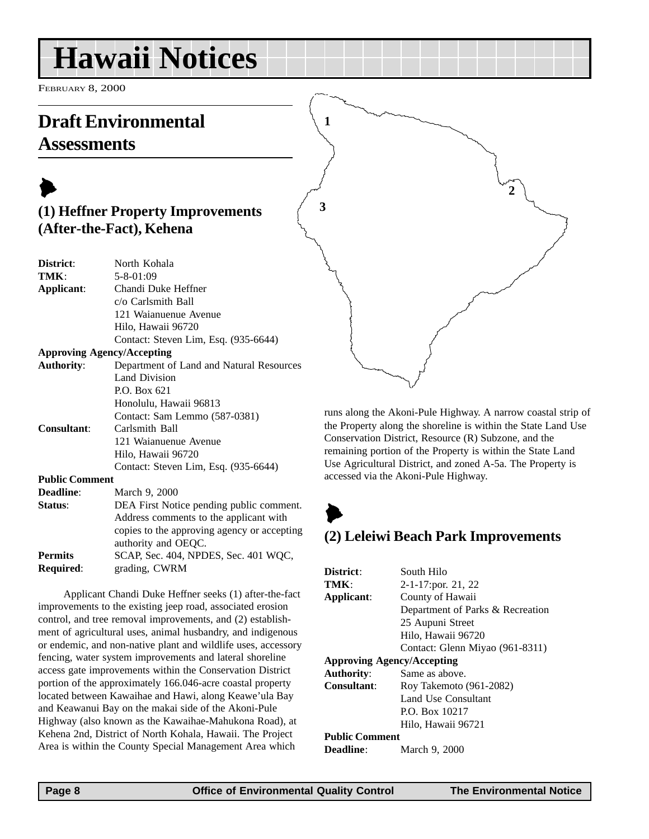# <span id="page-7-0"></span>**Hawaii Notices**

FEBRUARY 8, 2000

## **Draft Environmental Assessments**

## $\blacktriangleright$ **(1) Heffner Property Improvements (After-the-Fact), Kehena**

| District:             | North Kohala                                |
|-----------------------|---------------------------------------------|
| TMK:                  | $5 - 8 - 01:09$                             |
| Applicant:            | Chandi Duke Heffner                         |
|                       | c/o Carlsmith Ball                          |
|                       | 121 Waianuenue Avenue                       |
|                       | Hilo, Hawaii 96720                          |
|                       | Contact: Steven Lim, Esq. (935-6644)        |
|                       | <b>Approving Agency/Accepting</b>           |
| <b>Authority:</b>     | Department of Land and Natural Resources    |
|                       | Land Division                               |
|                       | P.O. Box 621                                |
|                       | Honolulu, Hawaii 96813                      |
|                       | Contact: Sam Lemmo (587-0381)               |
| <b>Consultant:</b>    | Carlsmith Ball                              |
|                       | 121 Waianuenue Avenue                       |
|                       | Hilo, Hawaii 96720                          |
|                       | Contact: Steven Lim, Esq. (935-6644)        |
| <b>Public Comment</b> |                                             |
| <b>Deadline:</b>      | March 9, 2000                               |
| Status:               | DEA First Notice pending public comment.    |
|                       | Address comments to the applicant with      |
|                       | copies to the approving agency or accepting |
|                       | authority and OEQC.                         |
|                       |                                             |

**Permits** SCAP, Sec. 404, NPDES, Sec. 401 WQC, **Required**: grading, CWRM

Applicant Chandi Duke Heffner seeks (1) after-the-fact improvements to the existing jeep road, associated erosion control, and tree removal improvements, and (2) establishment of agricultural uses, animal husbandry, and indigenous or endemic, and non-native plant and wildlife uses, accessory fencing, water system improvements and lateral shoreline access gate improvements within the Conservation District portion of the approximately 166.046-acre coastal property located between Kawaihae and Hawi, along Keawe'ula Bay and Keawanui Bay on the makai side of the Akoni-Pule Highway (also known as the Kawaihae-Mahukona Road), at Kehena 2nd, District of North Kohala, Hawaii. The Project Area is within the County Special Management Area which

runs along the Akoni-Pule Highway. A narrow coastal strip of the Property along the shoreline is within the State Land Use

**2**

Conservation District, Resource (R) Subzone, and the remaining portion of the Property is within the State Land Use Agricultural District, and zoned A-5a. The Property is accessed via the Akoni-Pule Highway.



**1**

**3**

## **(2) Leleiwi Beach Park Improvements**

| District:                         | South Hilo                       |
|-----------------------------------|----------------------------------|
| TMK ·                             | 2-1-17:por. 21, 22               |
| Applicant:                        | County of Hawaii                 |
|                                   | Department of Parks & Recreation |
|                                   | 25 Aupuni Street                 |
|                                   | Hilo, Hawaii 96720               |
|                                   | Contact: Glenn Miyao (961-8311)  |
| <b>Approving Agency/Accepting</b> |                                  |
| <b>Authority:</b>                 | Same as above.                   |
| Consultant:                       | Roy Takemoto (961-2082)          |
|                                   | Land Use Consultant              |
|                                   | P.O. Box 10217                   |
|                                   | Hilo, Hawaii 96721               |
| <b>Public Comment</b>             |                                  |
| <b>Deadline:</b>                  | March 9, 2000                    |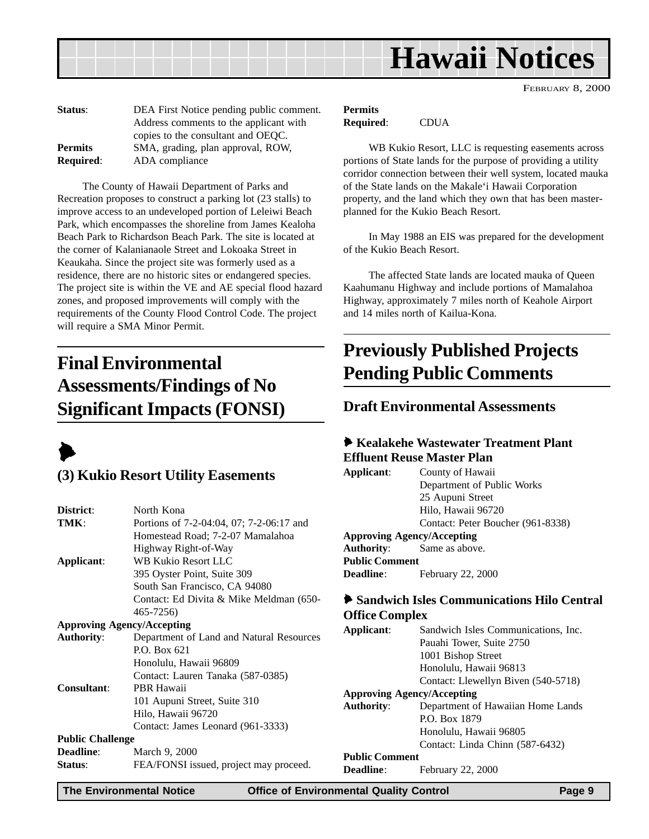<span id="page-8-0"></span>

| Status:          | DEA First Notice pending public comment. |
|------------------|------------------------------------------|
|                  | Address comments to the applicant with   |
|                  | copies to the consultant and OEQC.       |
| <b>Permits</b>   | SMA, grading, plan approval, ROW,        |
| <b>Required:</b> | ADA compliance                           |

The County of Hawaii Department of Parks and Recreation proposes to construct a parking lot (23 stalls) to improve access to an undeveloped portion of Leleiwi Beach Park, which encompasses the shoreline from James Kealoha Beach Park to Richardson Beach Park. The site is located at the corner of Kalanianaole Street and Lokoaka Street in Keaukaha. Since the project site was formerly used as a residence, there are no historic sites or endangered species. The project site is within the VE and AE special flood hazard zones, and proposed improvements will comply with the requirements of the County Flood Control Code. The project will require a SMA Minor Permit.

## **Final Environmental Assessments/Findings of No Significant Impacts (FONSI)**



### **(3) Kukio Resort Utility Easements**

| District:               | North Kona                               |
|-------------------------|------------------------------------------|
| TMK:                    | Portions of 7-2-04:04, 07; 7-2-06:17 and |
|                         | Homestead Road; 7-2-07 Mamalahoa         |
|                         | Highway Right-of-Way                     |
| Applicant:              | <b>WB Kukio Resort LLC</b>               |
|                         | 395 Oyster Point, Suite 309              |
|                         | South San Francisco, CA 94080            |
|                         | Contact: Ed Divita & Mike Meldman (650-  |
|                         | 465-7256)                                |
|                         | <b>Approving Agency/Accepting</b>        |
| <b>Authority:</b>       | Department of Land and Natural Resources |
|                         | P.O. Box 621                             |
|                         | Honolulu, Hawaii 96809                   |
|                         | Contact: Lauren Tanaka (587-0385)        |
| <b>Consultant:</b>      | PBR Hawaii                               |
|                         | 101 Aupuni Street, Suite 310             |
|                         | Hilo, Hawaii 96720                       |
|                         | Contact: James Leonard (961-3333)        |
| <b>Public Challenge</b> |                                          |
| <b>Deadline:</b>        | March 9, 2000                            |
| Status:                 | FEA/FONSI issued, project may proceed.   |
|                         |                                          |

## **Permits**

**Required**: CDUA

WB Kukio Resort, LLC is requesting easements across portions of State lands for the purpose of providing a utility corridor connection between their well system, located mauka of the State lands on the Makale'i Hawaii Corporation property, and the land which they own that has been masterplanned for the Kukio Beach Resort.

In May 1988 an EIS was prepared for the development of the Kukio Beach Resort.

The affected State lands are located mauka of Queen Kaahumanu Highway and include portions of Mamalahoa Highway, approximately 7 miles north of Keahole Airport and 14 miles north of Kailua-Kona.

## **Previously Published Projects Pending Public Comments**

### **Draft Environmental Assessments**

#### 6 **Kealakehe Wastewater Treatment Plant Effluent Reuse Master Plan**

**Applicant**: County of Hawaii Department of Public Works 25 Aupuni Street Hilo, Hawaii 96720 Contact: Peter Boucher (961-8338) **Approving Agency/Accepting Authority**: Same as above. **Public Comment Deadline**: February 22, 2000

#### 6 **Sandwich Isles Communications Hilo Central Office Complex**

| Applicant:                        | Sandwich Isles Communications, Inc. |  |
|-----------------------------------|-------------------------------------|--|
|                                   | Pauahi Tower, Suite 2750            |  |
|                                   | 1001 Bishop Street                  |  |
|                                   | Honolulu, Hawaii 96813              |  |
|                                   | Contact: Llewellyn Biven (540-5718) |  |
| <b>Approving Agency/Accepting</b> |                                     |  |
| <b>Authority:</b>                 | Department of Hawaiian Home Lands   |  |
|                                   | P.O. Box 1879                       |  |
|                                   | Honolulu, Hawaii 96805              |  |
|                                   | Contact: Linda Chinn (587-6432)     |  |
| <b>Public Comment</b>             |                                     |  |
| <b>Deadline:</b>                  | February 22, 2000                   |  |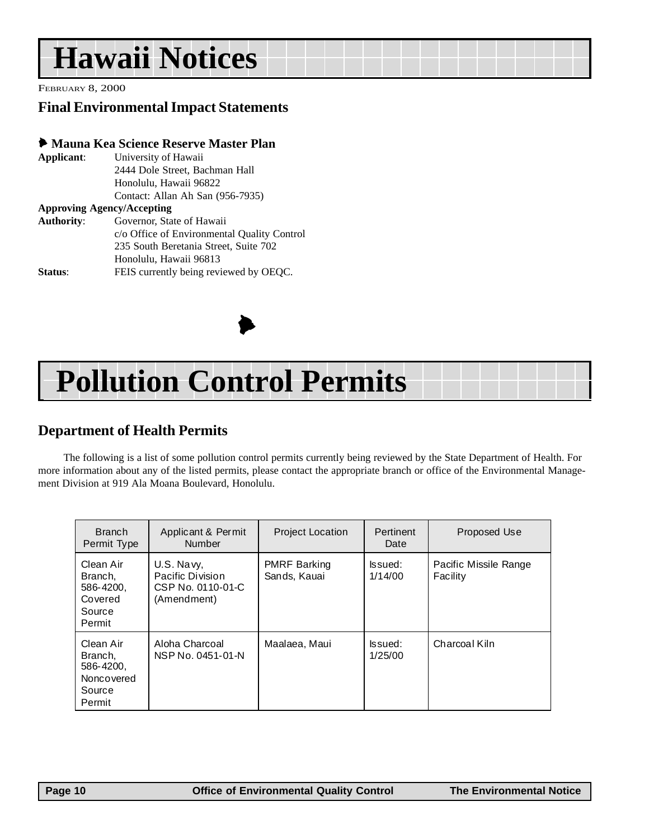# <span id="page-9-0"></span>**Hawaii Notices**

FEBRUARY 8, 2000

## **Final Environmental Impact Statements**

#### 6 **Mauna Kea Science Reserve Master Plan**

| Applicant:                        | University of Hawaii                        |
|-----------------------------------|---------------------------------------------|
|                                   | 2444 Dole Street, Bachman Hall              |
|                                   | Honolulu, Hawaii 96822                      |
|                                   | Contact: Allan Ah San (956-7935)            |
| <b>Approving Agency/Accepting</b> |                                             |
| <b>Authority:</b>                 | Governor, State of Hawaii                   |
|                                   | c/o Office of Environmental Quality Control |
|                                   | 235 South Beretania Street, Suite 702       |
|                                   | Honolulu, Hawaii 96813                      |
| Status:                           | FEIS currently being reviewed by OEQC.      |



# **Pollution Control Permits**

## **Department of Health Permits**

The following is a list of some pollution control permits currently being reviewed by the State Department of Health. For more information about any of the listed permits, please contact the appropriate branch or office of the Environmental Management Division at 919 Ala Moana Boulevard, Honolulu.

| <b>Branch</b><br>Permit Type                                        | Applicant & Permit<br><b>Number</b>                                | <b>Project Location</b>             | Pertinent<br>Date  | Proposed Use                      |
|---------------------------------------------------------------------|--------------------------------------------------------------------|-------------------------------------|--------------------|-----------------------------------|
| Clean Air<br>Branch.<br>586-4200,<br>Covered<br>Source<br>Permit    | U.S. Navy,<br>Pacific Division<br>CSP No. 0110-01-C<br>(Amendment) | <b>PMRF Barking</b><br>Sands, Kauai | lssued:<br>1/14/00 | Pacific Missile Range<br>Facility |
| Clean Air<br>Branch,<br>586-4200,<br>Noncovered<br>Source<br>Permit | Aloha Charcoal<br>NSP No. 0451-01-N                                | Maalaea, Maui                       | lssued:<br>1/25/00 | Charcoal Kiln                     |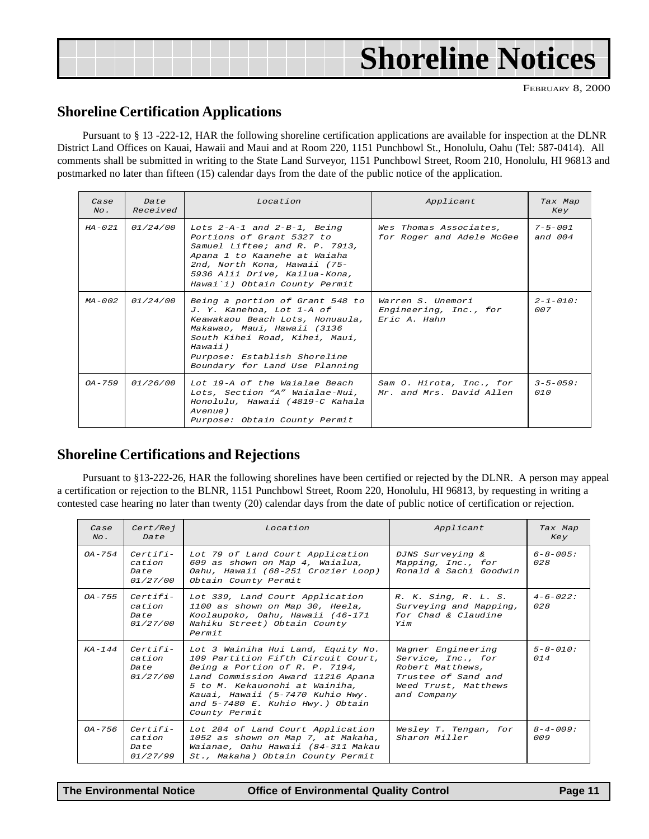<span id="page-10-0"></span>

| <b>Shoreline Notices</b> |  |
|--------------------------|--|
|--------------------------|--|

#### **Shoreline Certification Applications**

Pursuant to § 13 -222-12, HAR the following shoreline certification applications are available for inspection at the DLNR District Land Offices on Kauai, Hawaii and Maui and at Room 220, 1151 Punchbowl St., Honolulu, Oahu (Tel: 587-0414). All comments shall be submitted in writing to the State Land Surveyor, 1151 Punchbowl Street, Room 210, Honolulu, HI 96813 and postmarked no later than fifteen (15) calendar days from the date of the public notice of the application.

| Case<br>$N_O$ . | Date<br>Received | Location                                                                                                                                                                                                                                      | Applicant                                                   | Tax Map<br>Key             |
|-----------------|------------------|-----------------------------------------------------------------------------------------------------------------------------------------------------------------------------------------------------------------------------------------------|-------------------------------------------------------------|----------------------------|
| $HA - 0.21$     | <i>01/24/00</i>  | Lots $2-A-1$ and $2-B-1$ , Being<br>Portions of Grant 5327 to<br>Samuel Liftee; and R. P. 7913,<br>Apana 1 to Kaanehe at Waiaha<br>2nd, North Kona, Hawaii (75-<br>5936 Alii Drive, Kailua-Kona,<br>Hawai'i) Obtain County Permit             | Wes Thomas Associates,<br>for Roger and Adele McGee         | $7 - 5 - 001$<br>and $004$ |
| $MA - 0.02$     | <i>01/24/00</i>  | Being a portion of Grant 548 to<br>J. Y. Kanehoa, Lot 1-A of<br>Keawakaou Beach Lots, Honuaula,<br>Makawao, Maui, Hawaii (3136<br>South Kihei Road, Kihei, Maui,<br>Hawaii)<br>Purpose: Establish Shoreline<br>Boundary for Land Use Planning | Warren S. Unemori<br>Engineering, Inc., for<br>Eric A. Hahn | $2 - 1 - 010$ :<br>007     |
| $OA - 7.59$     | <i>01/26/00</i>  | Lot 19-A of the Waialae Beach<br>Lots, Section "A" Waialae-Nui,<br>Honolulu, Hawaii (4819-C Kahala<br>Avenue)<br>Purpose: Obtain County Permit                                                                                                | Sam O. Hirota, Inc., for<br>Mr. and Mrs. David Allen        | $3 - 5 - 059:$<br>010      |

### **Shoreline Certifications and Rejections**

Pursuant to §13-222-26, HAR the following shorelines have been certified or rejected by the DLNR. A person may appeal a certification or rejection to the BLNR, 1151 Punchbowl Street, Room 220, Honolulu, HI 96813, by requesting in writing a contested case hearing no later than twenty (20) calendar days from the date of public notice of certification or rejection.

| Case<br>$N_O$ . | Cert/Rej<br>Date                                | Location                                                                                                                                                                                                                                                                   | Applicant                                                                                                                  | Tax Map<br>Key         |
|-----------------|-------------------------------------------------|----------------------------------------------------------------------------------------------------------------------------------------------------------------------------------------------------------------------------------------------------------------------------|----------------------------------------------------------------------------------------------------------------------------|------------------------|
| $OA - 7.54$     | $Certifi-$<br>cation<br>Date<br><i>01/27/00</i> | Lot 79 of Land Court Application<br>609 as shown on Map 4, Waialua,<br>Oahu, Hawaii (68-251 Crozier Loop)<br>Obtain County Permit                                                                                                                                          | DJNS Surveying &<br>Mapping, Inc., for<br>Ronald & Sachi Goodwin                                                           | $6 - 8 - 005$ :<br>028 |
| $OA - 7.5.5$    | $Certifi-$<br>cation<br>Date<br><i>01/27/00</i> | Lot 339, Land Court Application<br>1100 as shown on Map 30, Heela,<br>Koolaupoko, Oahu, Hawaii (46-171<br>Nahiku Street) Obtain County<br>Permit                                                                                                                           | R. K. Sing, R. L. S.<br>Surveying and Mapping,<br>for Chad & Claudine<br>Y/m                                               | $4 - 6 - 022$ :<br>028 |
| $KA - 144$      | $Certifi-$<br>cation<br>Date<br>01/27/00        | Lot 3 Wainiha Hui Land, Equity No.<br>109 Partition Fifth Circuit Court,<br>Being a Portion of R. P. 7194,<br>Land Commission Award 11216 Apana<br>5 to M. Kekauonohi at Wainiha,<br>Kauai, Hawaii (5-7470 Kuhio Hwy.<br>and 5-7480 E. Kuhio Hwy.) Obtain<br>County Permit | Wagner Engineering<br>Service, Inc., for<br>Robert Matthews,<br>Trustee of Sand and<br>Weed Trust, Matthews<br>and Company | $5 - 8 - 010$ :<br>014 |
| $OA - 7.56$     | $Certifi-$<br>cation<br>Date<br>01/27/99        | Lot 284 of Land Court Application<br>1052 as shown on Map 7, at Makaha,<br>Waianae, Oahu Hawaii (84-311 Makau<br>St., Makaha) Obtain County Permit                                                                                                                         | Wesley T. Tengan, for<br>Sharon Miller                                                                                     | $8 - 4 - 009$ :<br>009 |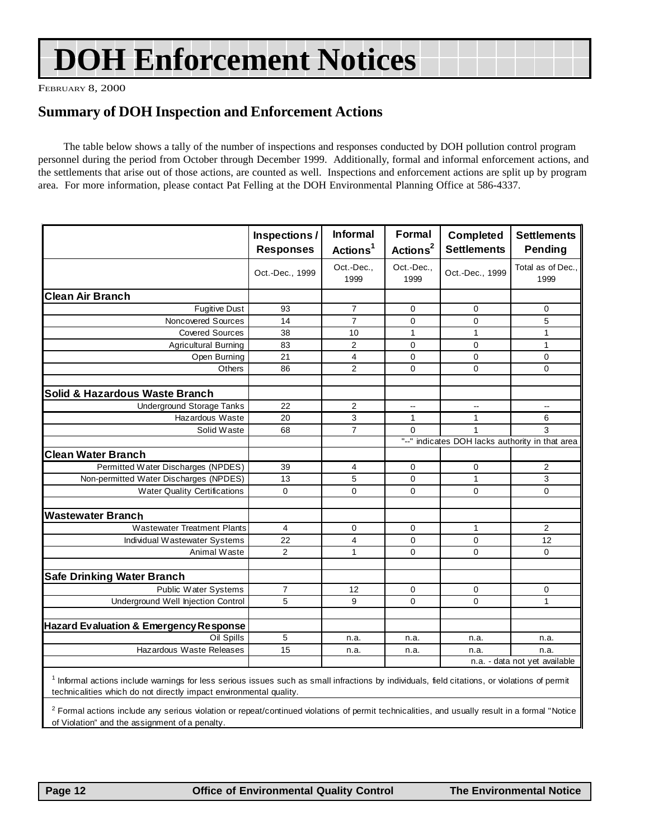# **DOH Enforcement Notices**

FEBRUARY 8, 2000

### **Summary of DOH Inspection and Enforcement Actions**

The table below shows a tally of the number of inspections and responses conducted by DOH pollution control program personnel during the period from October through December 1999. Additionally, formal and informal enforcement actions, and the settlements that arise out of those actions, are counted as well. Inspections and enforcement actions are split up by program area. For more information, please contact Pat Felling at the DOH Environmental Planning Office at 586-4337.

|                                                                                                                                                                                                                                 | Inspections/     | <b>Informal</b>      | Formal                   | Completed                                       | <b>Settlements</b>            |
|---------------------------------------------------------------------------------------------------------------------------------------------------------------------------------------------------------------------------------|------------------|----------------------|--------------------------|-------------------------------------------------|-------------------------------|
|                                                                                                                                                                                                                                 | <b>Responses</b> | Actions <sup>1</sup> | Actions <sup>2</sup>     | <b>Settlements</b>                              | Pending                       |
|                                                                                                                                                                                                                                 | Oct.-Dec., 1999  | Oct.-Dec.,<br>1999   | Oct.-Dec<br>1999         | Oct.-Dec., 1999                                 | Total as of Dec.,<br>1999     |
| <b>Clean Air Branch</b>                                                                                                                                                                                                         |                  |                      |                          |                                                 |                               |
| <b>Fugitive Dust</b>                                                                                                                                                                                                            | 93               | $\overline{7}$       | $\mathbf 0$              | 0                                               | 0                             |
| Noncovered Sources                                                                                                                                                                                                              | 14               | $\overline{7}$       | $\overline{0}$           | 0                                               | 5                             |
| <b>Covered Sources</b>                                                                                                                                                                                                          | 38               | 10                   | $\mathbf{1}$             | $\mathbf{1}$                                    | $\mathbf{1}$                  |
| <b>Agricultural Burning</b>                                                                                                                                                                                                     | 83               | 2                    | $\mathbf 0$              | 0                                               | $\mathbf{1}$                  |
| Open Burning                                                                                                                                                                                                                    | 21               | 4                    | $\Omega$                 | 0                                               | $\mathbf 0$                   |
| Others                                                                                                                                                                                                                          | 86               | $\overline{2}$       | 0                        | 0                                               | $\mathbf 0$                   |
| <b>Solid &amp; Hazardous Waste Branch</b>                                                                                                                                                                                       |                  |                      |                          |                                                 |                               |
| <b>Underground Storage Tanks</b>                                                                                                                                                                                                | 22               | 2                    | $\overline{\phantom{a}}$ | ٠.                                              | μ.                            |
| Hazardous Waste                                                                                                                                                                                                                 | 20               | 3                    | $\mathbf{1}$             | 1                                               | 6                             |
| Solid Waste                                                                                                                                                                                                                     | 68               | $\overline{7}$       | $\Omega$                 |                                                 | 3                             |
|                                                                                                                                                                                                                                 |                  |                      |                          | "--" indicates DOH lacks authority in that area |                               |
| <b>Clean Water Branch</b>                                                                                                                                                                                                       |                  |                      |                          |                                                 |                               |
| Permitted Water Discharges (NPDES)                                                                                                                                                                                              | 39               | 4                    | 0                        | 0                                               | $\overline{2}$                |
| Non-permitted Water Discharges (NPDES)                                                                                                                                                                                          | 13               | 5                    | $\Omega$                 | $\mathbf{1}$                                    | 3                             |
| <b>Water Quality Certifications</b>                                                                                                                                                                                             | $\mathbf 0$      | 0                    | $\mathbf 0$              | $\mathbf 0$                                     | $\mathbf 0$                   |
| <b>Wastewater Branch</b>                                                                                                                                                                                                        |                  |                      |                          |                                                 |                               |
| <b>Wastewater Treatment Plants</b>                                                                                                                                                                                              | $\overline{4}$   | 0                    | $\mathbf 0$              | 1                                               | $\overline{2}$                |
| Individual Wastewater Systems                                                                                                                                                                                                   | 22               | $\overline{4}$       | $\mathbf 0$              | 0                                               | 12                            |
| Animal Waste                                                                                                                                                                                                                    | $\overline{2}$   | $\mathbf{1}$         | $\Omega$                 | 0                                               | $\Omega$                      |
|                                                                                                                                                                                                                                 |                  |                      |                          |                                                 |                               |
| <b>Safe Drinking Water Branch</b>                                                                                                                                                                                               |                  |                      |                          |                                                 |                               |
| Public Water Systems                                                                                                                                                                                                            | $\overline{7}$   | 12                   | $\mathbf 0$              | 0                                               | 0                             |
| Underground Well Injection Control                                                                                                                                                                                              | 5                | 9                    | 0                        | 0                                               | $\mathbf{1}$                  |
|                                                                                                                                                                                                                                 |                  |                      |                          |                                                 |                               |
| <b>Hazard Evaluation &amp; Emergency Response</b>                                                                                                                                                                               |                  |                      |                          |                                                 |                               |
| Oil Spills                                                                                                                                                                                                                      | 5                | n.a.                 | n.a.                     | n.a.                                            | n.a.                          |
| Hazardous Waste Releases                                                                                                                                                                                                        | 15               | n.a.                 | n.a.                     | n.a.                                            | n.a.                          |
|                                                                                                                                                                                                                                 |                  |                      |                          |                                                 | n.a. - data not yet available |
| <sup>1</sup> Informal actions include warnings for less serious issues such as small infractions by individuals, field citations, or violations of permit<br>technicalities which do not directly impact environmental quality. |                  |                      |                          |                                                 |                               |

 $^2$  Formal actions include any serious violation or repeat/continued violations of permit technicalities, and usually result in a formal "Notice of Violation" and the assignment of a penalty.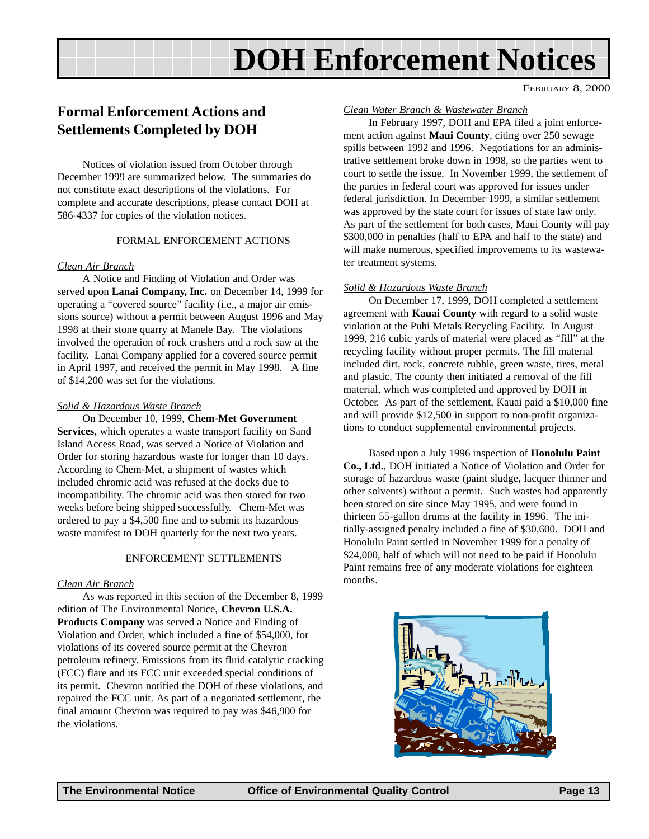# **DOH Enforcement Notices**

FEBRUARY 8, 2000

## **Formal Enforcement Actions and Settlements Completed by DOH**

Notices of violation issued from October through December 1999 are summarized below. The summaries do not constitute exact descriptions of the violations. For complete and accurate descriptions, please contact DOH at 586-4337 for copies of the violation notices.

#### FORMAL ENFORCEMENT ACTIONS

#### *Clean Air Branch*

A Notice and Finding of Violation and Order was served upon **Lanai Company, Inc.** on December 14, 1999 for operating a "covered source" facility (i.e., a major air emissions source) without a permit between August 1996 and May 1998 at their stone quarry at Manele Bay. The violations involved the operation of rock crushers and a rock saw at the facility. Lanai Company applied for a covered source permit in April 1997, and received the permit in May 1998. A fine of \$14,200 was set for the violations.

#### *Solid & Hazardous Waste Branch*

On December 10, 1999, **Chem-Met Government Services**, which operates a waste transport facility on Sand Island Access Road, was served a Notice of Violation and Order for storing hazardous waste for longer than 10 days. According to Chem-Met, a shipment of wastes which included chromic acid was refused at the docks due to incompatibility. The chromic acid was then stored for two weeks before being shipped successfully. Chem-Met was ordered to pay a \$4,500 fine and to submit its hazardous waste manifest to DOH quarterly for the next two years.

#### ENFORCEMENT SETTLEMENTS

#### *Clean Air Branch*

As was reported in this section of the December 8, 1999 edition of The Environmental Notice, **Chevron U.S.A. Products Company** was served a Notice and Finding of Violation and Order, which included a fine of \$54,000, for violations of its covered source permit at the Chevron petroleum refinery. Emissions from its fluid catalytic cracking (FCC) flare and its FCC unit exceeded special conditions of its permit. Chevron notified the DOH of these violations, and repaired the FCC unit. As part of a negotiated settlement, the final amount Chevron was required to pay was \$46,900 for the violations.

#### *Clean Water Branch & Wastewater Branch*

In February 1997, DOH and EPA filed a joint enforcement action against **Maui County**, citing over 250 sewage spills between 1992 and 1996. Negotiations for an administrative settlement broke down in 1998, so the parties went to court to settle the issue. In November 1999, the settlement of the parties in federal court was approved for issues under federal jurisdiction. In December 1999, a similar settlement was approved by the state court for issues of state law only. As part of the settlement for both cases, Maui County will pay \$300,000 in penalties (half to EPA and half to the state) and will make numerous, specified improvements to its wastewater treatment systems.

#### *Solid & Hazardous Waste Branch*

On December 17, 1999, DOH completed a settlement agreement with **Kauai County** with regard to a solid waste violation at the Puhi Metals Recycling Facility. In August 1999, 216 cubic yards of material were placed as "fill" at the recycling facility without proper permits. The fill material included dirt, rock, concrete rubble, green waste, tires, metal and plastic. The county then initiated a removal of the fill material, which was completed and approved by DOH in October. As part of the settlement, Kauai paid a \$10,000 fine and will provide \$12,500 in support to non-profit organizations to conduct supplemental environmental projects.

Based upon a July 1996 inspection of **Honolulu Paint Co., Ltd.**, DOH initiated a Notice of Violation and Order for storage of hazardous waste (paint sludge, lacquer thinner and other solvents) without a permit. Such wastes had apparently been stored on site since May 1995, and were found in thirteen 55-gallon drums at the facility in 1996. The initially-assigned penalty included a fine of \$30,600. DOH and Honolulu Paint settled in November 1999 for a penalty of \$24,000, half of which will not need to be paid if Honolulu Paint remains free of any moderate violations for eighteen months.

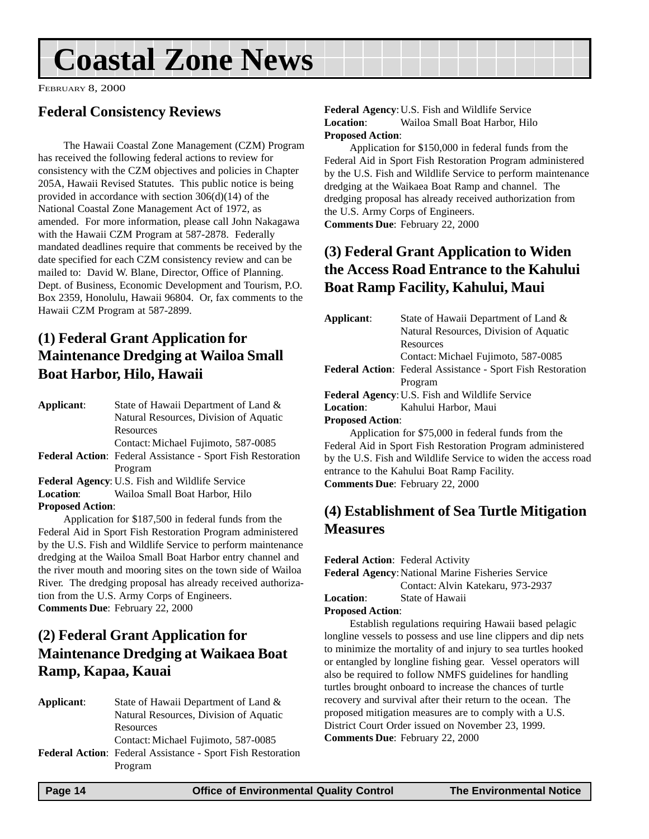# <span id="page-13-0"></span>**Coastal Zone News**

FEBRUARY 8, 2000

### **Federal Consistency Reviews**

The Hawaii Coastal Zone Management (CZM) Program has received the following federal actions to review for consistency with the CZM objectives and policies in Chapter 205A, Hawaii Revised Statutes. This public notice is being provided in accordance with section 306(d)(14) of the National Coastal Zone Management Act of 1972, as amended. For more information, please call John Nakagawa with the Hawaii CZM Program at 587-2878. Federally mandated deadlines require that comments be received by the date specified for each CZM consistency review and can be mailed to: David W. Blane, Director, Office of Planning. Dept. of Business, Economic Development and Tourism, P.O. Box 2359, Honolulu, Hawaii 96804. Or, fax comments to the Hawaii CZM Program at 587-2899.

## **(1) Federal Grant Application for Maintenance Dredging at Wailoa Small Boat Harbor, Hilo, Hawaii**

| Applicant:              | State of Hawaii Department of Land &                               |
|-------------------------|--------------------------------------------------------------------|
|                         | Natural Resources, Division of Aquatic                             |
|                         | Resources                                                          |
|                         | Contact: Michael Fujimoto, 587-0085                                |
|                         | <b>Federal Action:</b> Federal Assistance - Sport Fish Restoration |
|                         | Program                                                            |
|                         | Federal Agency: U.S. Fish and Wildlife Service                     |
| <b>Location:</b>        | Wailoa Small Boat Harbor, Hilo                                     |
| <b>Proposed Action:</b> |                                                                    |
|                         |                                                                    |

Application for \$187,500 in federal funds from the Federal Aid in Sport Fish Restoration Program administered by the U.S. Fish and Wildlife Service to perform maintenance dredging at the Wailoa Small Boat Harbor entry channel and the river mouth and mooring sites on the town side of Wailoa River. The dredging proposal has already received authorization from the U.S. Army Corps of Engineers. **Comments Due**: February 22, 2000

## **(2) Federal Grant Application for Maintenance Dredging at Waikaea Boat Ramp, Kapaa, Kauai**

| State of Hawaii Department of Land &                               |
|--------------------------------------------------------------------|
| Natural Resources, Division of Aquatic                             |
| Resources                                                          |
| Contact: Michael Fujimoto, 587-0085                                |
| <b>Federal Action:</b> Federal Assistance - Sport Fish Restoration |
| Program                                                            |
|                                                                    |

**Federal Agency**:U.S. Fish and Wildlife Service **Location**: Wailoa Small Boat Harbor, Hilo **Proposed Action**:

Application for \$150,000 in federal funds from the Federal Aid in Sport Fish Restoration Program administered by the U.S. Fish and Wildlife Service to perform maintenance dredging at the Waikaea Boat Ramp and channel. The dredging proposal has already received authorization from the U.S. Army Corps of Engineers.

**Comments Due**: February 22, 2000

## **(3) Federal Grant Application to Widen the Access Road Entrance to the Kahului Boat Ramp Facility, Kahului, Maui**

| Applicant:              | State of Hawaii Department of Land &                               |
|-------------------------|--------------------------------------------------------------------|
|                         | Natural Resources, Division of Aquatic                             |
|                         | Resources                                                          |
|                         | Contact: Michael Fujimoto, 587-0085                                |
|                         | <b>Federal Action:</b> Federal Assistance - Sport Fish Restoration |
|                         | Program                                                            |
|                         | Federal Agency: U.S. Fish and Wildlife Service                     |
| <b>Location:</b>        | Kahului Harbor, Maui                                               |
| <b>Proposed Action:</b> |                                                                    |
|                         | Application for \$75,000 in federal funds from the                 |

Federal Aid in Sport Fish Restoration Program administered by the U.S. Fish and Wildlife Service to widen the access road entrance to the Kahului Boat Ramp Facility. **Comments Due**: February 22, 2000

## **(4) Establishment of Sea Turtle Mitigation Measures**

**Federal Action**: Federal Activity

Federal Agency: National Marine Fisheries Service Contact: Alvin Katekaru, 973-2937

**Location**: State of Hawaii

#### **Proposed Action**:

Establish regulations requiring Hawaii based pelagic longline vessels to possess and use line clippers and dip nets to minimize the mortality of and injury to sea turtles hooked or entangled by longline fishing gear. Vessel operators will also be required to follow NMFS guidelines for handling turtles brought onboard to increase the chances of turtle recovery and survival after their return to the ocean. The proposed mitigation measures are to comply with a U.S. District Court Order issued on November 23, 1999. **Comments Due**: February 22, 2000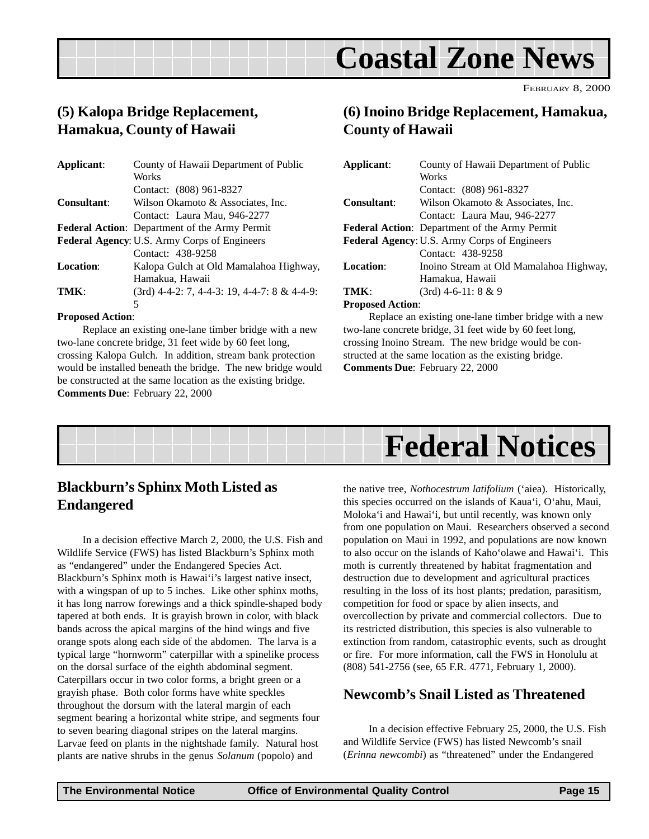

### <span id="page-14-0"></span>**(5) Kalopa Bridge Replacement, Hamakua, County of Hawaii**

| Applicant:         | County of Hawaii Department of Public                |
|--------------------|------------------------------------------------------|
|                    | Works                                                |
|                    | Contact: (808) 961-8327                              |
| <b>Consultant:</b> | Wilson Okamoto & Associates, Inc.                    |
|                    | Contact: Laura Mau, 946-2277                         |
|                    | <b>Federal Action:</b> Department of the Army Permit |
|                    | Federal Agency: U.S. Army Corps of Engineers         |
|                    | Contact: 438-9258                                    |
| Location:          | Kalopa Gulch at Old Mamalahoa Highway,               |
|                    | Hamakua, Hawaii                                      |
| TMK:               | $(3rd)$ 4-4-2: 7, 4-4-3: 19, 4-4-7: 8 & 4-4-9:       |
|                    | 5                                                    |

#### **Proposed Action**:

Replace an existing one-lane timber bridge with a new two-lane concrete bridge, 31 feet wide by 60 feet long, crossing Kalopa Gulch. In addition, stream bank protection would be installed beneath the bridge. The new bridge would be constructed at the same location as the existing bridge. **Comments Due**: February 22, 2000

### **(6) Inoino Bridge Replacement, Hamakua, County of Hawaii**

| Applicant:               | County of Hawaii Department of Public                |
|--------------------------|------------------------------------------------------|
|                          | Works                                                |
|                          | Contact: (808) 961-8327                              |
| <b>Consultant:</b>       | Wilson Okamoto & Associates, Inc.                    |
|                          | Contact: Laura Mau, 946-2277                         |
|                          | <b>Federal Action:</b> Department of the Army Permit |
|                          | <b>Federal Agency: U.S. Army Corps of Engineers</b>  |
|                          | Contact: 438-9258                                    |
| <b>Location:</b>         | Inoino Stream at Old Mamalahoa Highway,              |
|                          | Hamakua, Hawaii                                      |
| TMK:                     | $(3rd)$ 4-6-11: 8 & 9                                |
| <b>n</b> 11 <sup>1</sup> |                                                      |

#### **Proposed Action**:

Replace an existing one-lane timber bridge with a new two-lane concrete bridge, 31 feet wide by 60 feet long, crossing Inoino Stream. The new bridge would be constructed at the same location as the existing bridge. **Comments Due**: February 22, 2000



### **Blackburn's Sphinx Moth Listed as Endangered**

In a decision effective March 2, 2000, the U.S. Fish and Wildlife Service (FWS) has listed Blackburn's Sphinx moth as "endangered" under the Endangered Species Act. Blackburn's Sphinx moth is Hawai'i's largest native insect, with a wingspan of up to 5 inches. Like other sphinx moths, it has long narrow forewings and a thick spindle-shaped body tapered at both ends. It is grayish brown in color, with black bands across the apical margins of the hind wings and five orange spots along each side of the abdomen. The larva is a typical large "hornworm" caterpillar with a spinelike process on the dorsal surface of the eighth abdominal segment. Caterpillars occur in two color forms, a bright green or a grayish phase. Both color forms have white speckles throughout the dorsum with the lateral margin of each segment bearing a horizontal white stripe, and segments four to seven bearing diagonal stripes on the lateral margins. Larvae feed on plants in the nightshade family. Natural host plants are native shrubs in the genus *Solanum* (popolo) and

the native tree, *Nothocestrum latifolium* ('aiea). Historically, this species occurred on the islands of Kaua'i, O'ahu, Maui, Moloka'i and Hawai'i, but until recently, was known only from one population on Maui. Researchers observed a second population on Maui in 1992, and populations are now known to also occur on the islands of Kaho'olawe and Hawai'i. This moth is currently threatened by habitat fragmentation and destruction due to development and agricultural practices resulting in the loss of its host plants; predation, parasitism, competition for food or space by alien insects, and overcollection by private and commercial collectors. Due to its restricted distribution, this species is also vulnerable to extinction from random, catastrophic events, such as drought or fire. For more information, call the FWS in Honolulu at (808) 541-2756 (see, 65 F.R. 4771, February 1, 2000).

### **Newcomb's Snail Listed as Threatened**

In a decision effective February 25, 2000, the U.S. Fish and Wildlife Service (FWS) has listed Newcomb's snail (*Erinna newcombi*) as "threatened" under the Endangered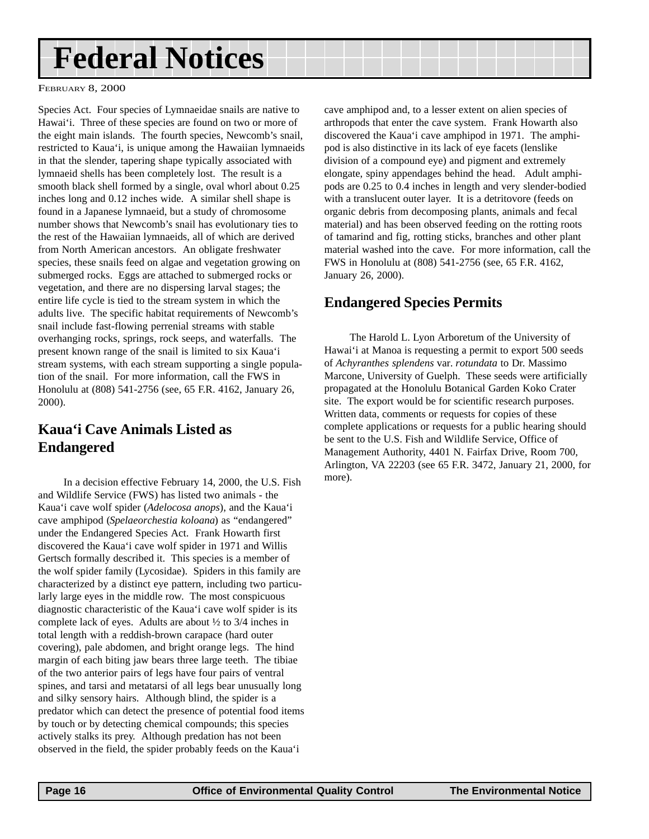# <span id="page-15-0"></span>**Federal Notices**

FEBRUARY 8, 2000

Species Act. Four species of Lymnaeidae snails are native to Hawai'i. Three of these species are found on two or more of the eight main islands. The fourth species, Newcomb's snail, restricted to Kaua'i, is unique among the Hawaiian lymnaeids in that the slender, tapering shape typically associated with lymnaeid shells has been completely lost. The result is a smooth black shell formed by a single, oval whorl about 0.25 inches long and 0.12 inches wide. A similar shell shape is found in a Japanese lymnaeid, but a study of chromosome number shows that Newcomb's snail has evolutionary ties to the rest of the Hawaiian lymnaeids, all of which are derived from North American ancestors. An obligate freshwater species, these snails feed on algae and vegetation growing on submerged rocks. Eggs are attached to submerged rocks or vegetation, and there are no dispersing larval stages; the entire life cycle is tied to the stream system in which the adults live. The specific habitat requirements of Newcomb's snail include fast-flowing perrenial streams with stable overhanging rocks, springs, rock seeps, and waterfalls. The present known range of the snail is limited to six Kaua'i stream systems, with each stream supporting a single population of the snail. For more information, call the FWS in Honolulu at (808) 541-2756 (see, 65 F.R. 4162, January 26, 2000).

## **Kaua'i Cave Animals Listed as Endangered**

In a decision effective February 14, 2000, the U.S. Fish and Wildlife Service (FWS) has listed two animals - the Kaua'i cave wolf spider (*Adelocosa anops*), and the Kaua'i cave amphipod (*Spelaeorchestia koloana*) as "endangered" under the Endangered Species Act. Frank Howarth first discovered the Kaua'i cave wolf spider in 1971 and Willis Gertsch formally described it. This species is a member of the wolf spider family (Lycosidae). Spiders in this family are characterized by a distinct eye pattern, including two particularly large eyes in the middle row. The most conspicuous diagnostic characteristic of the Kaua'i cave wolf spider is its complete lack of eyes. Adults are about ½ to 3/4 inches in total length with a reddish-brown carapace (hard outer covering), pale abdomen, and bright orange legs. The hind margin of each biting jaw bears three large teeth. The tibiae of the two anterior pairs of legs have four pairs of ventral spines, and tarsi and metatarsi of all legs bear unusually long and silky sensory hairs. Although blind, the spider is a predator which can detect the presence of potential food items by touch or by detecting chemical compounds; this species actively stalks its prey. Although predation has not been observed in the field, the spider probably feeds on the Kaua'i

cave amphipod and, to a lesser extent on alien species of arthropods that enter the cave system. Frank Howarth also discovered the Kaua'i cave amphipod in 1971. The amphipod is also distinctive in its lack of eye facets (lenslike division of a compound eye) and pigment and extremely elongate, spiny appendages behind the head. Adult amphipods are 0.25 to 0.4 inches in length and very slender-bodied with a translucent outer layer. It is a detritovore (feeds on organic debris from decomposing plants, animals and fecal material) and has been observed feeding on the rotting roots of tamarind and fig, rotting sticks, branches and other plant material washed into the cave. For more information, call the FWS in Honolulu at (808) 541-2756 (see, 65 F.R. 4162, January 26, 2000).

### **Endangered Species Permits**

The Harold L. Lyon Arboretum of the University of Hawai'i at Manoa is requesting a permit to export 500 seeds of *Achyranthes splendens* var. *rotundata* to Dr. Massimo Marcone, University of Guelph. These seeds were artificially propagated at the Honolulu Botanical Garden Koko Crater site. The export would be for scientific research purposes. Written data, comments or requests for copies of these complete applications or requests for a public hearing should be sent to the U.S. Fish and Wildlife Service, Office of Management Authority, 4401 N. Fairfax Drive, Room 700, Arlington, VA 22203 (see 65 F.R. 3472, January 21, 2000, for more).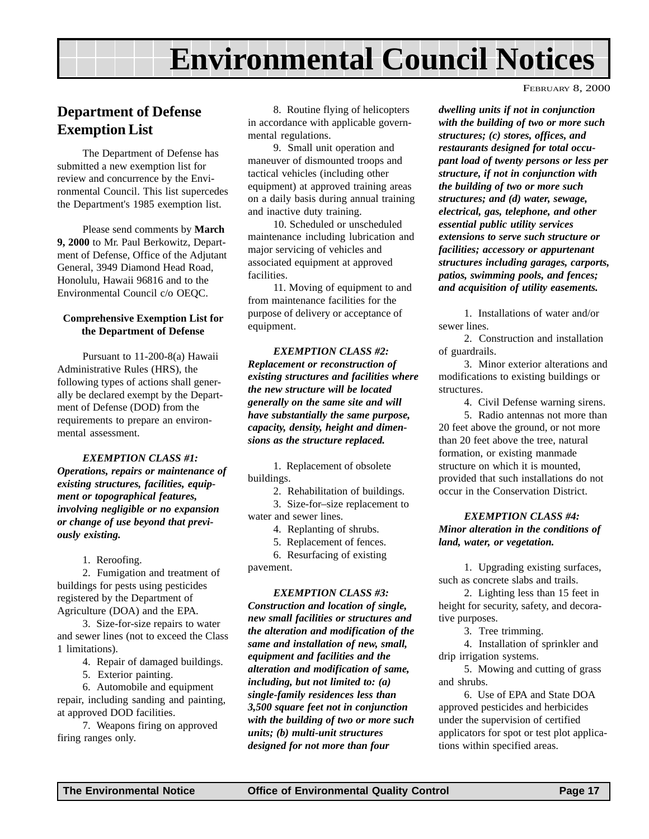# **Environmental Council Notices**

### <span id="page-16-0"></span>**Department of Defense Exemption List**

The Department of Defense has submitted a new exemption list for review and concurrence by the Environmental Council. This list supercedes the Department's 1985 exemption list.

Please send comments by **March 9, 2000** to Mr. Paul Berkowitz, Department of Defense, Office of the Adjutant General, 3949 Diamond Head Road, Honolulu, Hawaii 96816 and to the Environmental Council c/o OEQC.

#### **Comprehensive Exemption List for the Department of Defense**

Pursuant to 11-200-8(a) Hawaii Administrative Rules (HRS), the following types of actions shall generally be declared exempt by the Department of Defense (DOD) from the requirements to prepare an environmental assessment.

*EXEMPTION CLASS #1: Operations, repairs or maintenance of existing structures, facilities, equipment or topographical features, involving negligible or no expansion or change of use beyond that previously existing.*

1. Reroofing.

2. Fumigation and treatment of buildings for pests using pesticides registered by the Department of Agriculture (DOA) and the EPA.

3. Size-for-size repairs to water and sewer lines (not to exceed the Class 1 limitations).

4. Repair of damaged buildings.

5. Exterior painting.

6. Automobile and equipment repair, including sanding and painting, at approved DOD facilities.

7. Weapons firing on approved firing ranges only.

8. Routine flying of helicopters in accordance with applicable governmental regulations.

9. Small unit operation and maneuver of dismounted troops and tactical vehicles (including other equipment) at approved training areas on a daily basis during annual training and inactive duty training.

10. Scheduled or unscheduled maintenance including lubrication and major servicing of vehicles and associated equipment at approved facilities.

11. Moving of equipment to and from maintenance facilities for the purpose of delivery or acceptance of equipment.

*EXEMPTION CLASS #2: Replacement or reconstruction of existing structures and facilities where the new structure will be located generally on the same site and will have substantially the same purpose, capacity, density, height and dimensions as the structure replaced.*

1. Replacement of obsolete buildings.

2. Rehabilitation of buildings.

3. Size-for–size replacement to

water and sewer lines.

4. Replanting of shrubs.

5. Replacement of fences.

6. Resurfacing of existing

pavement.

#### *EXEMPTION CLASS #3:*

*Construction and location of single, new small facilities or structures and the alteration and modification of the same and installation of new, small, equipment and facilities and the alteration and modification of same, including, but not limited to: (a) single-family residences less than 3,500 square feet not in conjunction with the building of two or more such units; (b) multi-unit structures designed for not more than four*

FEBRUARY 8, 2000

*dwelling units if not in conjunction with the building of two or more such structures; (c) stores, offices, and restaurants designed for total occupant load of twenty persons or less per structure, if not in conjunction with the building of two or more such structures; and (d) water, sewage, electrical, gas, telephone, and other essential public utility services extensions to serve such structure or facilities; accessory or appurtenant structures including garages, carports, patios, swimming pools, and fences; and acquisition of utility easements.*

1. Installations of water and/or sewer lines.

2. Construction and installation of guardrails.

3. Minor exterior alterations and modifications to existing buildings or structures.

4. Civil Defense warning sirens.

5. Radio antennas not more than 20 feet above the ground, or not more than 20 feet above the tree, natural formation, or existing manmade structure on which it is mounted, provided that such installations do not occur in the Conservation District.

#### *EXEMPTION CLASS #4: Minor alteration in the conditions of land, water, or vegetation.*

1. Upgrading existing surfaces, such as concrete slabs and trails.

2. Lighting less than 15 feet in height for security, safety, and decorative purposes.

3. Tree trimming.

4. Installation of sprinkler and drip irrigation systems.

5. Mowing and cutting of grass and shrubs.

6. Use of EPA and State DOA approved pesticides and herbicides under the supervision of certified applicators for spot or test plot applications within specified areas.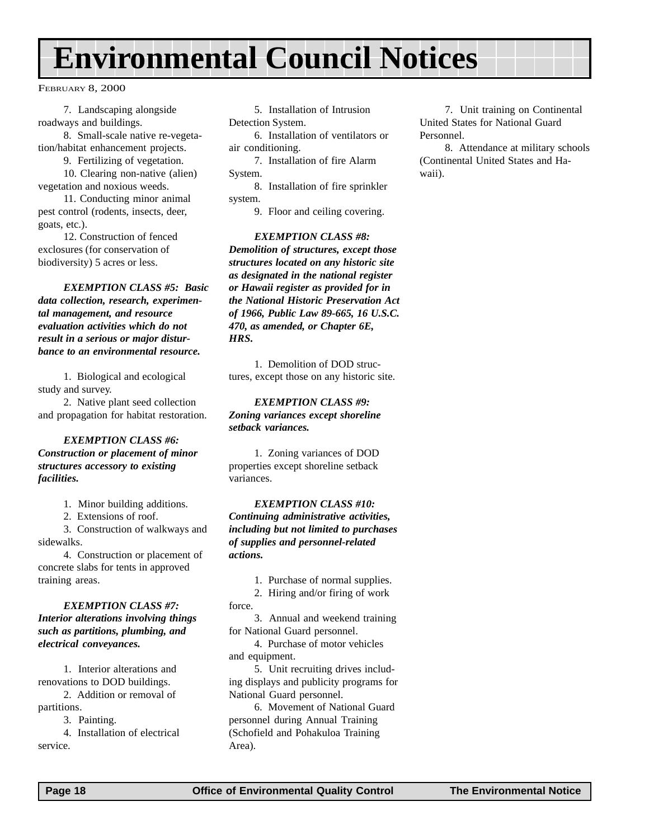# <span id="page-17-0"></span>**Environmental Council Notices**

FEBRUARY 8, 2000

7. Landscaping alongside roadways and buildings.

8. Small-scale native re-vegetation/habitat enhancement projects.

9. Fertilizing of vegetation.

10. Clearing non-native (alien) vegetation and noxious weeds.

11. Conducting minor animal pest control (rodents, insects, deer, goats, etc.).

12. Construction of fenced exclosures (for conservation of biodiversity) 5 acres or less.

*EXEMPTION CLASS #5: Basic data collection, research, experimental management, and resource evaluation activities which do not result in a serious or major disturbance to an environmental resource.*

1. Biological and ecological study and survey.

2. Native plant seed collection and propagation for habitat restoration.

#### *EXEMPTION CLASS #6: Construction or placement of minor structures accessory to existing facilities.*

1. Minor building additions.

2. Extensions of roof.

3. Construction of walkways and sidewalks.

4. Construction or placement of concrete slabs for tents in approved training areas.

#### *EXEMPTION CLASS #7: Interior alterations involving things such as partitions, plumbing, and electrical conveyances.*

1. Interior alterations and renovations to DOD buildings.

2. Addition or removal of partitions.

3. Painting.

4. Installation of electrical service.

5. Installation of Intrusion Detection System.

6. Installation of ventilators or air conditioning.

7. Installation of fire Alarm System.

8. Installation of fire sprinkler system.

9. Floor and ceiling covering.

*EXEMPTION CLASS #8: Demolition of structures, except those structures located on any historic site as designated in the national register or Hawaii register as provided for in the National Historic Preservation Act of 1966, Public Law 89-665, 16 U.S.C. 470, as amended, or Chapter 6E, HRS.*

1. Demolition of DOD structures, except those on any historic site.

#### *EXEMPTION CLASS #9: Zoning variances except shoreline setback variances.*

1. Zoning variances of DOD properties except shoreline setback variances.

#### *EXEMPTION CLASS #10: Continuing administrative activities,*

*including but not limited to purchases of supplies and personnel-related actions.*

- 1. Purchase of normal supplies.
- 2. Hiring and/or firing of work
- force.

3. Annual and weekend training for National Guard personnel.

4. Purchase of motor vehicles and equipment.

5. Unit recruiting drives including displays and publicity programs for National Guard personnel.

6. Movement of National Guard personnel during Annual Training (Schofield and Pohakuloa Training Area).

7. Unit training on Continental United States for National Guard Personnel.

8. Attendance at military schools (Continental United States and Hawaii).